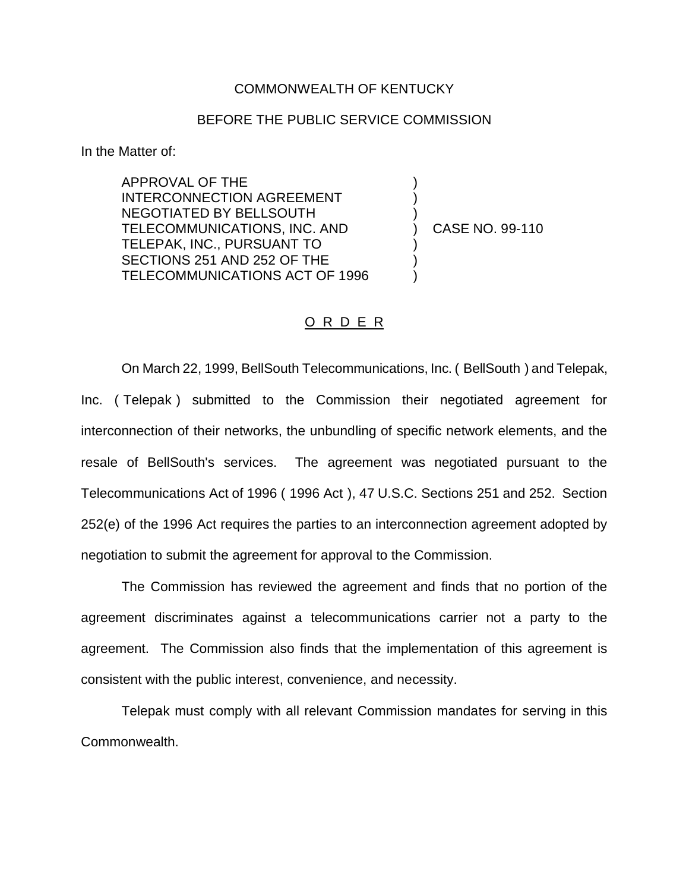## COMMONWEALTH OF KENTUCKY

## BEFORE THE PUBLIC SERVICE COMMISSION

In the Matter of:

APPROVAL OF THE INTERCONNECTION AGREEMENT NEGOTIATED BY BELLSOUTH TELECOMMUNICATIONS, INC. AND TELEPAK, INC., PURSUANT TO SECTIONS 251 AND 252 OF THE TELECOMMUNICATIONS ACT OF 1996

) CASE NO. 99-110

) ) )

) ) )

## O R D E R

On March 22, 1999, BellSouth Telecommunications, Inc. ( BellSouth ) and Telepak, Inc. ( Telepak ) submitted to the Commission their negotiated agreement for interconnection of their networks, the unbundling of specific network elements, and the resale of BellSouth's services. The agreement was negotiated pursuant to the Telecommunications Act of 1996 ( 1996 Act ), 47 U.S.C. Sections 251 and 252. Section 252(e) of the 1996 Act requires the parties to an interconnection agreement adopted by negotiation to submit the agreement for approval to the Commission.

The Commission has reviewed the agreement and finds that no portion of the agreement discriminates against a telecommunications carrier not a party to the agreement. The Commission also finds that the implementation of this agreement is consistent with the public interest, convenience, and necessity.

Telepak must comply with all relevant Commission mandates for serving in this Commonwealth.